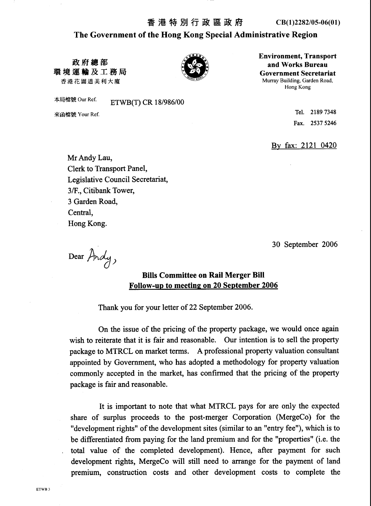# 香港特別行政區政府

# The Government of the Hong Kong Special Administrative Region

政府總部 環境運輸及工務局 香港花園道美利大廈

**Environment, Transport** and Works Bureau **Government Secretariat** Murray Building, Garden Road, Hong Kong

本局檔號 Our Ref. ETWB(T) CR 18/986/00

來函檔號 Your Ref.

Tel. 2189 7348 Fax. 2537 5246

By fax: 2121 0420

Mr Andy Lau, Clerk to Transport Panel, Legislative Council Secretariat, 3/F., Citibank Tower, 3 Garden Road, Central, Hong Kong.

30 September 2006

Dear Andy,

# **Bills Committee on Rail Merger Bill** Follow-up to meeting on 20 September 2006

Thank you for your letter of 22 September 2006.

On the issue of the pricing of the property package, we would once again wish to reiterate that it is fair and reasonable. Our intention is to sell the property package to MTRCL on market terms. A professional property valuation consultant appointed by Government, who has adopted a methodology for property valuation commonly accepted in the market, has confirmed that the pricing of the property package is fair and reasonable.

It is important to note that what MTRCL pays for are only the expected share of surplus proceeds to the post-merger Corporation (MergeCo) for the "development rights" of the development sites (similar to an "entry fee"), which is to be differentiated from paying for the land premium and for the "properties" (i.e. the total value of the completed development). Hence, after payment for such development rights, MergeCo will still need to arrange for the payment of land premium, construction costs and other development costs to complete the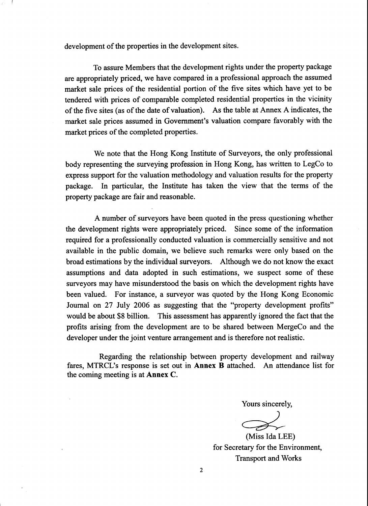development of the properties in the development sites.

To assure Members that the development rights under the property package are appropriately priced, we have compared in a professional approach the assumed market sale prices of the residential portion of the five sites which have yet to be tendered with prices of comparable completed residential properties in the vicinity of the five sites (as of the date of valuation). As the table at Annex A indicates, the market sale prices assumed in Government's valuation compare favorably with the market prices of the completed properties.

We note that the Hong Kong Institute of Surveyors, the only professional body representing the surveying profession in Hong Kong, has written to LegCo to express support for the valuation methodology and valuation results for the property package. In particular, the Institute has taken the view that the terms of the property package are fair and reasonable.

A number of surveyors have been quoted in the press questioning whether the development rights were appropriately priced. Since some of the information required for a professionally conducted valuation is commercially sensitive and not available in the public domain, we believe such remarks were only based on the broad estimations by the individual surveyors. Although we do not know the exact assumptions and data adopted in such estimations, we suspect some of these survevors may have misunderstood the basis on which the development rights have been valued. For instance, a surveyor was quoted by the Hong Kong Economic Journal on 27 July 2006 as suggesting that the "property development profits" would be about \$8 billion. This assessment has apparently ignored the fact that the profits arising from the development are to be shared between MergeCo and the developer under the joint venture arrangement and is therefore not realistic.

Regarding the relationship between property development and railway fares, MTRCL's response is set out in **Annex B** attached. An attendance list for the coming meeting is at **Annex C**.

Yours sincerely,

(Miss Ida LEE) for Secretary for the Environment, **Transport and Works**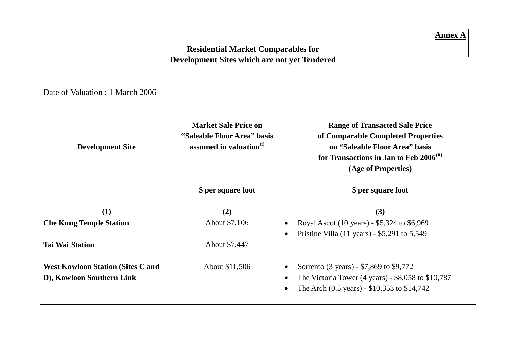**Annex A**

# **Residential Market Comparables for Development Sites which are not yet Tendered**

Date of Valuation : 1 March 2006

| <b>Development Site</b>                                               | <b>Market Sale Price on</b><br>"Saleable Floor Area" basis<br>assumed in valuation <sup>(i)</sup> | <b>Range of Transacted Sale Price</b><br>of Comparable Completed Properties<br>on "Saleable Floor Area" basis<br>for Transactions in Jan to Feb 2006 <sup>(ii)</sup><br>(Age of Properties) |
|-----------------------------------------------------------------------|---------------------------------------------------------------------------------------------------|---------------------------------------------------------------------------------------------------------------------------------------------------------------------------------------------|
|                                                                       | \$ per square foot                                                                                | \$ per square foot                                                                                                                                                                          |
| (1)                                                                   | (2)                                                                                               | (3)                                                                                                                                                                                         |
| <b>Che Kung Temple Station</b>                                        | About \$7,106                                                                                     | Royal Ascot (10 years) - \$5,324 to \$6,969<br>$\bullet$<br>Pristine Villa (11 years) - \$5,291 to 5,549                                                                                    |
| <b>Tai Wai Station</b>                                                | About \$7,447                                                                                     |                                                                                                                                                                                             |
| <b>West Kowloon Station (Sites C and</b><br>D), Kowloon Southern Link | About \$11,506                                                                                    | Sorrento (3 years) - \$7,869 to \$9,772<br>$\bullet$<br>The Victoria Tower $(4 \text{ years}) - $8,058$ to \$10,787<br>$\bullet$<br>The Arch $(0.5 \text{ years}) - $10,353$ to \$14,742    |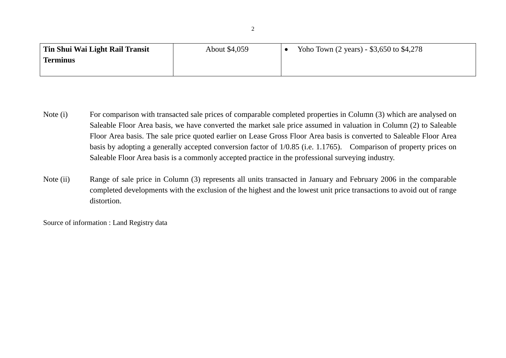| Tin Shui Wai Light Rail Transit | About \$4,059 | Yoho Town (2 years) - \$3,650 to \$4,278 |
|---------------------------------|---------------|------------------------------------------|
| <b>Terminus</b>                 |               |                                          |
|                                 |               |                                          |

- Note (i) For comparison with transacted sale prices of comparable completed properties in Column (3) which are analysed on Saleable Floor Area basis, we have converted the market sale price assumed in valuation in Column (2) to Saleable Floor Area basis. The sale price quoted earlier on Lease Gross Floor Area basis is converted to Saleable Floor Area basis by adopting a generally accepted conversion factor of 1/0.85 (i.e. 1.1765). Comparison of property prices on Saleable Floor Area basis is a commonly accepted practice in the professional surveying industry.
- Note (ii) Range of sale price in Column (3) represents all units transacted in January and February 2006 in the comparable completed developments with the exclusion of the highest and the lowest unit price transactions to avoid out of range distortion.

Source of information : Land Registry data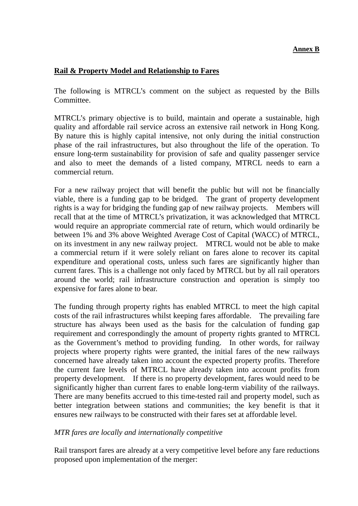#### **Annex B**

# **Rail & Property Model and Relationship to Fares**

The following is MTRCL's comment on the subject as requested by the Bills Committee.

MTRCL's primary objective is to build, maintain and operate a sustainable, high quality and affordable rail service across an extensive rail network in Hong Kong. By nature this is highly capital intensive, not only during the initial construction phase of the rail infrastructures, but also throughout the life of the operation. To ensure long-term sustainability for provision of safe and quality passenger service and also to meet the demands of a listed company, MTRCL needs to earn a commercial return.

For a new railway project that will benefit the public but will not be financially viable, there is a funding gap to be bridged. The grant of property development rights is a way for bridging the funding gap of new railway projects. Members will recall that at the time of MTRCL's privatization, it was acknowledged that MTRCL would require an appropriate commercial rate of return, which would ordinarily be between 1% and 3% above Weighted Average Cost of Capital (WACC) of MTRCL, on its investment in any new railway project. MTRCL would not be able to make a commercial return if it were solely reliant on fares alone to recover its capital expenditure and operational costs, unless such fares are significantly higher than current fares. This is a challenge not only faced by MTRCL but by all rail operators around the world; rail infrastructure construction and operation is simply too expensive for fares alone to bear.

The funding through property rights has enabled MTRCL to meet the high capital costs of the rail infrastructures whilst keeping fares affordable. The prevailing fare structure has always been used as the basis for the calculation of funding gap requirement and correspondingly the amount of property rights granted to MTRCL as the Government's method to providing funding. In other words, for railway projects where property rights were granted, the initial fares of the new railways concerned have already taken into account the expected property profits. Therefore the current fare levels of MTRCL have already taken into account profits from property development. If there is no property development, fares would need to be significantly higher than current fares to enable long-term viability of the railways. There are many benefits accrued to this time-tested rail and property model, such as better integration between stations and communities; the key benefit is that it ensures new railways to be constructed with their fares set at affordable level.

#### *MTR fares are locally and internationally competitive*

Rail transport fares are already at a very competitive level before any fare reductions proposed upon implementation of the merger: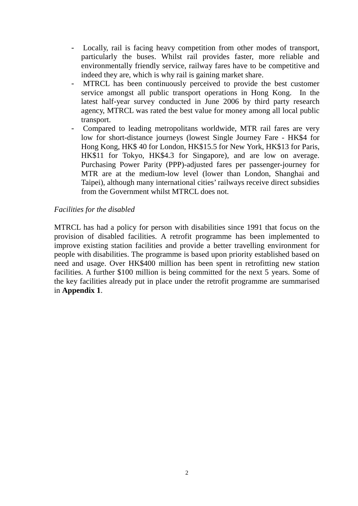- Locally, rail is facing heavy competition from other modes of transport, particularly the buses. Whilst rail provides faster, more reliable and environmentally friendly service, railway fares have to be competitive and indeed they are, which is why rail is gaining market share.
- MTRCL has been continuously perceived to provide the best customer service amongst all public transport operations in Hong Kong. In the latest half-year survey conducted in June 2006 by third party research agency, MTRCL was rated the best value for money among all local public transport.
- Compared to leading metropolitans worldwide, MTR rail fares are very low for short-distance journeys (lowest Single Journey Fare - HK\$4 for Hong Kong, HK\$ 40 for London, HK\$15.5 for New York, HK\$13 for Paris, HK\$11 for Tokyo, HK\$4.3 for Singapore), and are low on average. Purchasing Power Parity (PPP)-adjusted fares per passenger-journey for MTR are at the medium-low level (lower than London, Shanghai and Taipei), although many international cities' railways receive direct subsidies from the Government whilst MTRCL does not.

# *Facilities for the disabled*

MTRCL has had a policy for person with disabilities since 1991 that focus on the provision of disabled facilities. A retrofit programme has been implemented to improve existing station facilities and provide a better travelling environment for people with disabilities. The programme is based upon priority established based on need and usage. Over HK\$400 million has been spent in retrofitting new station facilities. A further \$100 million is being committed for the next 5 years. Some of the key facilities already put in place under the retrofit programme are summarised in **Appendix 1**.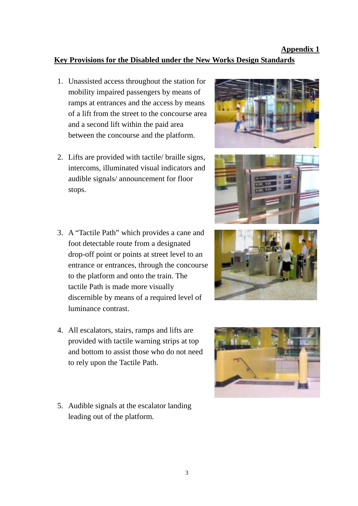# **Appendix 1**

#### **Key Provisions for the Disabled under the New Works Design Standards**

- 1. Unassisted access throughout the station for mobility impaired passengers by means of ramps at entrances and the access by means of a lift from the street to the concourse area and a second lift within the paid area between the concourse and the platform.
- 2. Lifts are provided with tactile/ braille signs, intercoms, illuminated visual indicators and audible signals/ announcement for floor stops.
- 3. A "Tactile Path" which provides a cane and foot detectable route from a designated drop-off point or points at street level to an entrance or entrances, through the concourse to the platform and onto the train. The tactile Path is made more visually discernible by means of a required level of luminance contrast.
- 4. All escalators, stairs, ramps and lifts are provided with tactile warning strips at top and bottom to assist those who do not need to rely upon the Tactile Path.
- 5. Audible signals at the escalator landing leading out of the platform.







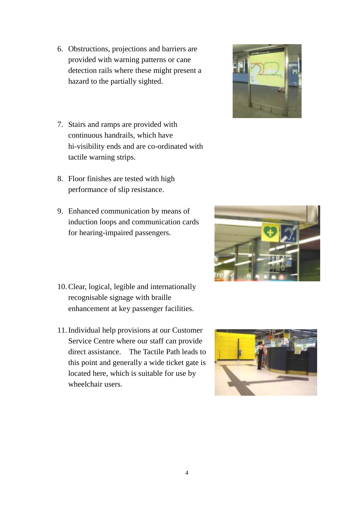- 6. Obstructions, projections and barriers are provided with warning patterns or cane detection rails where these might present a hazard to the partially sighted.
- 7. Stairs and ramps are provided with continuous handrails, which have hi-visibility ends and are co-ordinated with tactile warning strips.
- 8. Floor finishes are tested with high performance of slip resistance.
- 9. Enhanced communication by means of induction loops and communication cards for hearing-impaired passengers.
- 10. Clear, logical, legible and internationally recognisable signage with braille enhancement at key passenger facilities.
- 11. Individual help provisions at our Customer Service Centre where our staff can provide direct assistance. The Tactile Path leads to this point and generally a wide ticket gate is located here, which is suitable for use by wheelchair users.

4





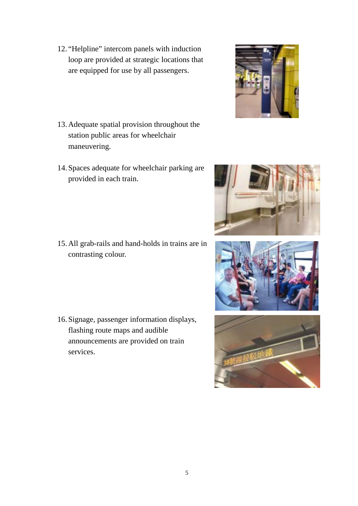- 12. "Helpline" intercom panels with induction loop are provided at strategic locations that are equipped for use by all passengers.
- 13. Adequate spatial provision throughout the station public areas for wheelchair maneuvering.
- 14. Spaces adequate for wheelchair parking are provided in each train.

15. All grab-rails and hand-holds in trains are in contrasting colour.

16. Signage, passenger information displays, flashing route maps and audible announcements are provided on train services.







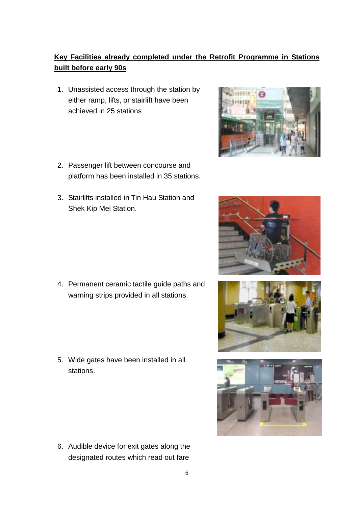# **Key Facilities already completed under the Retrofit Programme in Stations built before early 90s**

- 1. Unassisted access through the station by either ramp, lifts, or stairlift have been achieved in 25 stations
- 2. Passenger lift between concourse and platform has been installed in 35 stations.
- 3. Stairlifts installed in Tin Hau Station and Shek Kip Mei Station.

4. Permanent ceramic tactile guide paths and warning strips provided in all stations.

5. Wide gates have been installed in all stations.

6. Audible device for exit gates along the designated routes which read out fare

 $\sim$  6







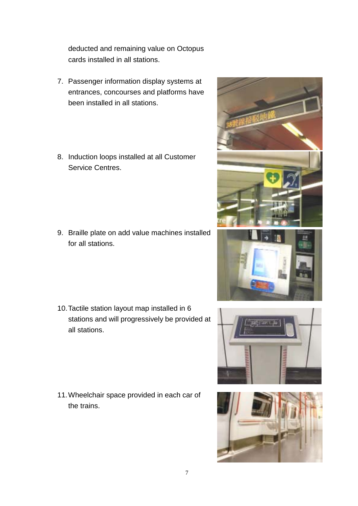deducted and remaining value on Octopus cards installed in all stations.

- 7. Passenger information display systems at entrances, concourses and platforms have been installed in all stations.
- 8. Induction loops installed at all Customer Service Centres.

9. Braille plate on add value machines installed for all stations.

10. Tactile station layout map installed in 6 stations and will progressively be provided at all stations.

11. Wheelchair space provided in each car of the trains.